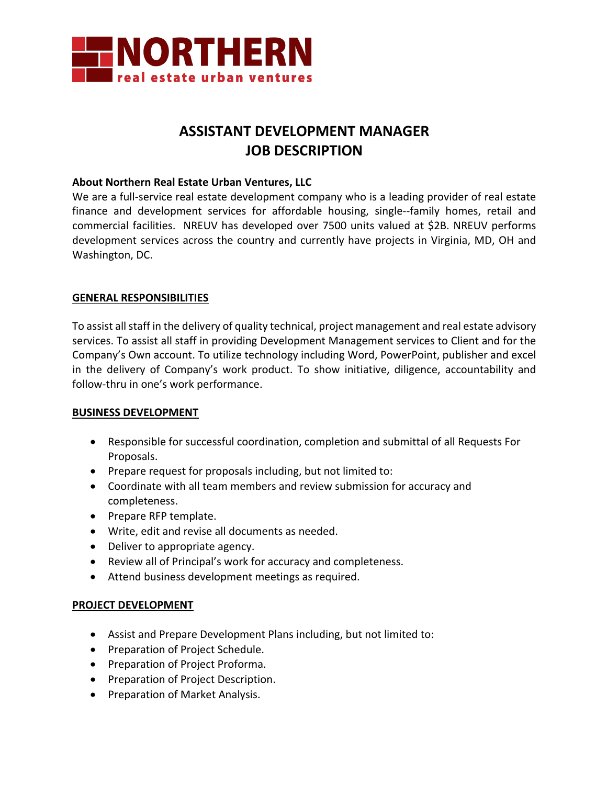

# **ASSISTANT DEVELOPMENT MANAGER JOB DESCRIPTION**

#### **About Northern Real Estate Urban Ventures, LLC**

We are a full-service real estate development company who is a leading provider of real estate finance and development services for affordable housing, single--family homes, retail and commercial facilities. NREUV has developed over 7500 units valued at \$2B. NREUV performs development services across the country and currently have projects in Virginia, MD, OH and Washington, DC.

#### **GENERAL RESPONSIBILITIES**

To assist all staff in the delivery of quality technical, project management and real estate advisory services. To assist all staff in providing Development Management services to Client and for the Company's Own account. To utilize technology including Word, PowerPoint, publisher and excel in the delivery of Company's work product. To show initiative, diligence, accountability and follow-thru in one's work performance.

#### **BUSINESS DEVELOPMENT**

- Responsible for successful coordination, completion and submittal of all Requests For Proposals.
- Prepare request for proposals including, but not limited to:
- Coordinate with all team members and review submission for accuracy and completeness.
- Prepare RFP template.
- Write, edit and revise all documents as needed.
- Deliver to appropriate agency.
- Review all of Principal's work for accuracy and completeness.
- Attend business development meetings as required.

#### **PROJECT DEVELOPMENT**

- Assist and Prepare Development Plans including, but not limited to:
- Preparation of Project Schedule.
- Preparation of Project Proforma.
- Preparation of Project Description.
- Preparation of Market Analysis.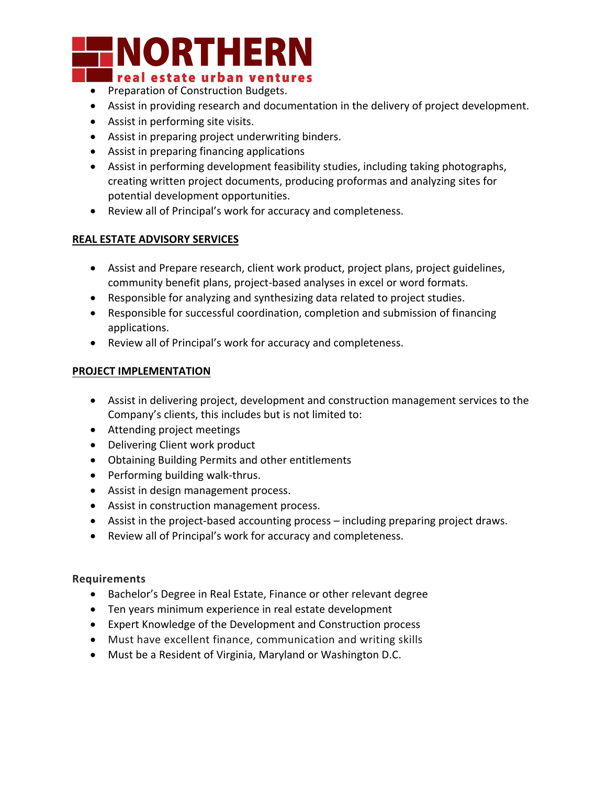# **NORTHERN** ■ real estate urban ventures

- Preparation of Construction Budgets.
- Assist in providing research and documentation in the delivery of project development.
- Assist in performing site visits.
- Assist in preparing project underwriting binders.
- Assist in preparing financing applications
- Assist in performing development feasibility studies, including taking photographs, creating written project documents, producing proformas and analyzing sites for potential development opportunities.
- Review all of Principal's work for accuracy and completeness.

# **REAL ESTATE ADVISORY SERVICES**

- Assist and Prepare research, client work product, project plans, project guidelines, community benefit plans, project-based analyses in excel or word formats.
- Responsible for analyzing and synthesizing data related to project studies.
- Responsible for successful coordination, completion and submission of financing applications.
- Review all of Principal's work for accuracy and completeness.

## **PROJECT IMPLEMENTATION**

- Assist in delivering project, development and construction management services to the Company's clients, this includes but is not limited to:
- Attending project meetings
- Delivering Client work product
- Obtaining Building Permits and other entitlements
- Performing building walk-thrus.
- Assist in design management process.
- Assist in construction management process.
- Assist in the project-based accounting process including preparing project draws.
- Review all of Principal's work for accuracy and completeness.

## **Requirements**

- Bachelor's Degree in Real Estate, Finance or other relevant degree
- Ten years minimum experience in real estate development
- Expert Knowledge of the Development and Construction process
- Must have excellent finance, communication and writing skills
- Must be a Resident of Virginia, Maryland or Washington D.C.